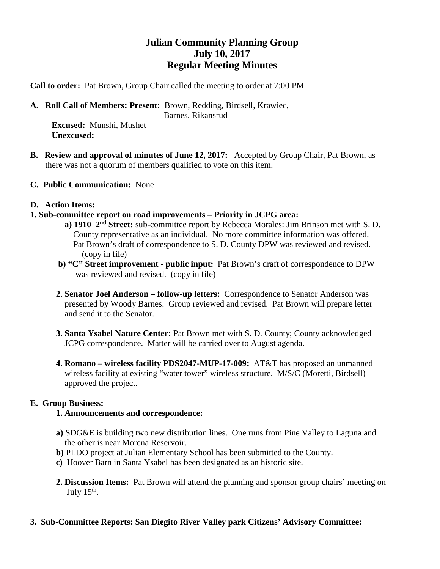## **Julian Community Planning Group July 10, 2017 Regular Meeting Minutes**

**Call to order:** Pat Brown, Group Chair called the meeting to order at 7:00 PM

**A. Roll Call of Members: Present:** Brown, Redding, Birdsell, Krawiec,

Barnes, Rikansrud

 **Excused:** Munshi, Mushet  **Unexcused:** 

- **B. Review and approval of minutes of June 12, 2017:** Accepted by Group Chair, Pat Brown, as there was not a quorum of members qualified to vote on this item.
- **C. Public Communication:** None
- **D. Action Items:**
- **1. Sub-committee report on road improvements – Priority in JCPG area:**
	- **a) 1910 2nd Street:** sub-committee report by Rebecca Morales: Jim Brinson met with S. D. County representative as an individual. No more committee information was offered. Pat Brown's draft of correspondence to S. D. County DPW was reviewed and revised. (copy in file)
	- **b) "C" Street improvement - public input:** Pat Brown's draft of correspondence to DPW was reviewed and revised. (copy in file)
	- **2**. **Senator Joel Anderson – follow-up letters:** Correspondence to Senator Anderson was presented by Woody Barnes. Group reviewed and revised. Pat Brown will prepare letter and send it to the Senator.
	- **3. Santa Ysabel Nature Center:** Pat Brown met with S. D. County; County acknowledged JCPG correspondence. Matter will be carried over to August agenda.
	- **4. Romano – wireless facility PDS2047-MUP-17-009:** AT&T has proposed an unmanned wireless facility at existing "water tower" wireless structure. M/S/C (Moretti, Birdsell) approved the project.

## **E. Group Business:**

## **1. Announcements and correspondence:**

- **a)** SDG&E is building two new distribution lines. One runs from Pine Valley to Laguna and the other is near Morena Reservoir.
- **b)** PLDO project at Julian Elementary School has been submitted to the County.
- **c)** Hoover Barn in Santa Ysabel has been designated as an historic site.
- **2. Discussion Items:** Pat Brown will attend the planning and sponsor group chairs' meeting on July  $15<sup>th</sup>$ .
- **3. Sub-Committee Reports: San Diegito River Valley park Citizens' Advisory Committee:**